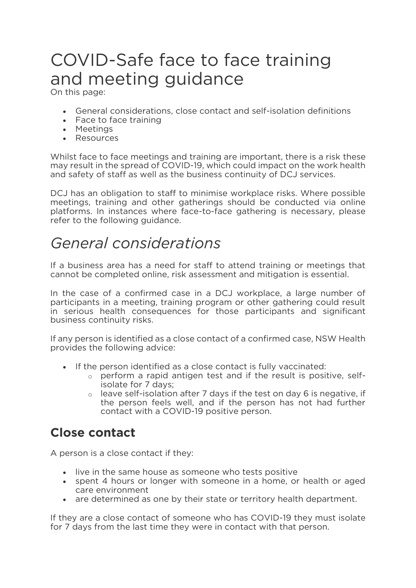# and meeting quidance On this page:

On this page:

- General considerations, close contact and self-isolation definitions
- Face to face training
- Meetings
- Resources

Whilst face to face meetings and training are important, there is a risk these may result in the spread of COVID-19, which could impact on the work health and safety of staff as well as the business continuity of DCJ services. and safety of staff as well as the business continuity of DCJ services.

DCJ has an obligation to staff to minimise workplace risks. Where possible meetings, training and other gatherings should be conducted via online platforms. In instances where face-to-face gathering is necessary, please refer to the following guidance. refer to the following guidance.

## General considerations

If a business area has a need for staff to attend training or meetings that cannot be completed online, risk assessment and mitigation is essential. cannot be completed online, risk assessment and mitigation is essential.

In the case of a confirmed case in a DCJ workplace, a large number of participants in a meeting, training program or other gathering could result in serious health consequences for those participants and significant business continuity risks. business continuity risks.

If any person is identified as a close contact of a confirmed case, NSW Health provides the following advice:

- If the person identified as a close contact is fully vaccinated:
	- <sup>o</sup> perform a rapid antigen test and if the result is positive, self-
	- $\circ$  leave self-isolation after 7 days if the test on day 6 is negative, if the person feels well, and if the person has not had further contact with a COVID-19 positive person. contact with a COVID-19 positive person.

#### **Close contact Close contact**

A person is a close contact if they:

- 
- live in the same house as someone who tests positive<br>• spent 4 hours or longer with someone in a home, or spent 4 hours or longer with someone in a home, or health or aged
- are determined as one by their state or territory health department.

If they are a close contact of someone who has COVID-19 they must isolate for 7 days from the last time they were in contact with that person. for 7 days from the last time they were in contact with that person.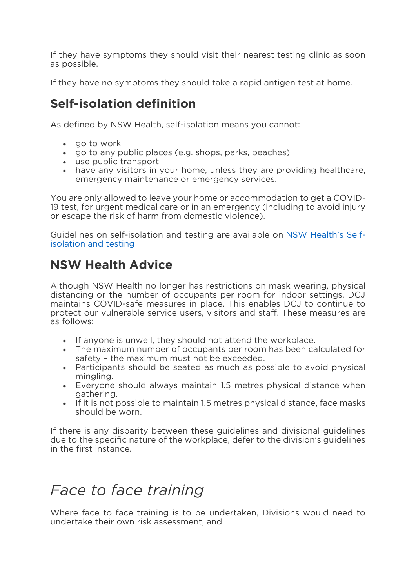If they have symptoms they should visit their nearest testing clinic as soon as possible. as possible.

If they have no symptoms they should take a rapid antigen test at home.

#### Self-isolation definition **Self-isolation definition**

As defined by NSW Health, self-isolation means you cannot:

- 
- go to work<br>• go to any p go to any public places (e.g. shops, parks, beaches)
- use public transport
- have any visitors in your home, unless they are providing healthcare, emergency maintenance or emergency services.

You are only allowed to leave your home or accommodation to get a COVIDor escape the risk of harm from domestic violence). or escape the risk of harm from domestic violence).

Guidelines on self-isolation and testing are available on <u>Health County Self</u><u>[isolation and testing](https://www.health.nsw.gov.au/Infectious/covid-19/Pages/self-isolation-and-testing.aspx)</u>

#### **NSW Health Advice NSW Health Advice**

Although NSW Health no longer has restrictions on mask wearing, physical distancing or the number of occupants per room for indoor settings. DCJ maintains COVID-safe measures in place. This enables DCJ to continue to protect our vulnerable service users, visitors and staff. These measures are as follows: as follows:

- If anyone is unwell, they should not attend the workplace.<br>• The maximum number of occupants per room has been ca
- The maximum number of occupants per room has been calculated for
- Participants should be seated as much as possible to avoid physical<br>mingling.
- Everyone should always maintain 1.5 metres physical distance when gathering.
- If it is not possible to maintain 1.5 metres physical distance, face masks<br>should be worn. should be worn.

If there is any disparity between these guidelines and divisional guidelines due to the specific nature of the workplace, defer to the division's quidelines in the first instance. in the first instance.

### Face to face training

Where face to face training is to be undertaken, Divisions would need to undertake their own risk assessment, and: undertake their own risk assessment, and: